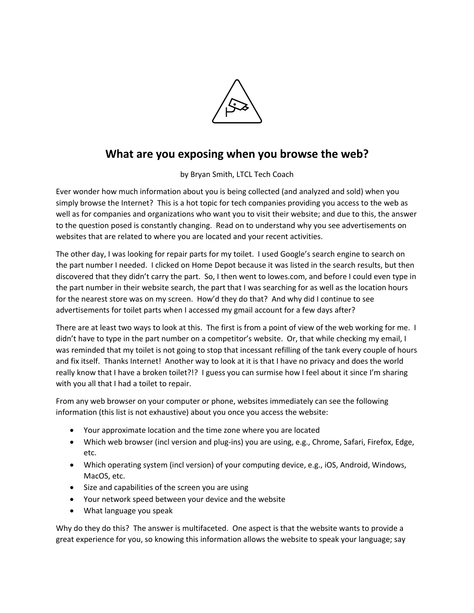

## **What are you exposing when you browse the web?**

by Bryan Smith, LTCL Tech Coach

Ever wonder how much information about you is being collected (and analyzed and sold) when you simply browse the Internet? This is a hot topic for tech companies providing you access to the web as well as for companies and organizations who want you to visit their website; and due to this, the answer to the question posed is constantly changing. Read on to understand why you see advertisements on websites that are related to where you are located and your recent activities.

The other day, I was looking for repair parts for my toilet. I used Google's search engine to search on the part number I needed. I clicked on Home Depot because it was listed in the search results, but then discovered that they didn't carry the part. So, I then went to lowes.com, and before I could even type in the part number in their website search, the part that I was searching for as well as the location hours for the nearest store was on my screen. How'd they do that? And why did I continue to see advertisements for toilet parts when I accessed my gmail account for a few days after?

There are at least two ways to look at this. The first is from a point of view of the web working for me. I didn't have to type in the part number on a competitor's website. Or, that while checking my email, I was reminded that my toilet is not going to stop that incessant refilling of the tank every couple of hours and fix itself. Thanks Internet! Another way to look at it is that I have no privacy and does the world really know that I have a broken toilet?!? I guess you can surmise how I feel about it since I'm sharing with you all that I had a toilet to repair.

From any web browser on your computer or phone, websites immediately can see the following information (this list is not exhaustive) about you once you access the website:

- Your approximate location and the time zone where you are located
- Which web browser (incl version and plug-ins) you are using, e.g., Chrome, Safari, Firefox, Edge, etc.
- Which operating system (incl version) of your computing device, e.g., iOS, Android, Windows, MacOS, etc.
- Size and capabilities of the screen you are using
- Your network speed between your device and the website
- What language you speak

Why do they do this? The answer is multifaceted. One aspect is that the website wants to provide a great experience for you, so knowing this information allows the website to speak your language; say